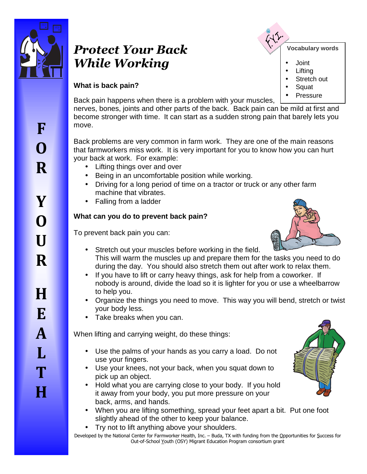

# *Protect Your Back While Working*



- Joint
- **Lifting**
- Stretch out
- **Squat**
- **Pressure**

# **What is back pain?**

Back pain happens when there is a problem with your muscles, nerves, bones, joints and other parts of the back. Back pain can be mild at first and become stronger with time. It can start as a sudden strong pain that barely lets you move.

Back problems are very common in farm work. They are one of the main reasons that farmworkers miss work. It is very important for you to know how you can hurt your back at work. For example:

- Lifting things over and over
- Being in an uncomfortable position while working.
- Driving for a long period of time on a tractor or truck or any other farm machine that vibrates.
- Falling from a ladder

## **What can you do to prevent back pain?**

To prevent back pain you can:

- 
- Stretch out your muscles before working in the field. This will warm the muscles up and prepare them for the tasks you need to do during the day. You should also stretch them out after work to relax them.
- If you have to lift or carry heavy things, ask for help from a coworker. If nobody is around, divide the load so it is lighter for you or use a wheelbarrow to help you.
- Organize the things you need to move. This way you will bend, stretch or twist your body less.
- Take breaks when you can.

When lifting and carrying weight, do these things:

- Use the palms of your hands as you carry a load. Do not use your fingers.
- Use your knees, not your back, when you squat down to pick up an object.
- Hold what you are carrying close to your body. If you hold it away from your body, you put more pressure on your back, arms, and hands.
- When you are lifting something, spread your feet apart a bit. Put one foot slightly ahead of the other to keep your balance.
- Try not to lift anything above your shoulders.
- Developed by the National Center for Farmworker Health, Inc. Buda, TX with funding from the Opportunities for Success for Out-of-School Youth (OSY) Migrant Education Program consortium grant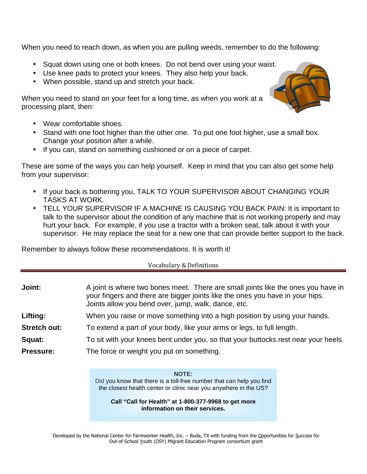When you need to reach down, as when you are pulling weeds, remember to do the following:

- Squat down using one or both knees. Do not bend over using your waist.
- Use knee pads to protect your knees. They also help your back.
- When possible, stand up and stretch your back.

When you need to stand on your feet for a long time, as when you work at a processing plant, then:

- Wear comfortable shoes.
- Stand with one foot higher than the other one. To put one foot higher, use a small box. Change your position after a while.
- If you can, stand on something cushioned or on a piece of carpet.

These are some of the ways you can help yourself. Keep in mind that you can also get some help from your supervisor:

- If your back is bothering you, TALK TO YOUR SUPERVISOR ABOUT CHANGING YOUR TASKS AT WORK.
- TELL YOUR SUPERVISOR IF A MACHINE IS CAUSING YOU BACK PAIN: It is important to talk to the supervisor about the condition of any machine that is not working properly and may hurt your back. For example, if you use a tractor with a broken seat, talk about it with your supervisor. He may replace the seat for a new one that can provide better support to the back.

Remember to always follow these recommendations. It is worth it!

#### Vocabulary & Definitions

| Joint:              | A joint is where two bones meet. There are small joints like the ones you have in<br>your fingers and there are bigger joints like the ones you have in your hips.<br>Joints allow you bend over, jump, walk, dance, etc. |  |
|---------------------|---------------------------------------------------------------------------------------------------------------------------------------------------------------------------------------------------------------------------|--|
| Lifting:            | When you raise or move something into a high position by using your hands.                                                                                                                                                |  |
| <b>Stretch out:</b> | To extend a part of your body, like your arms or legs, to full length.                                                                                                                                                    |  |
| Squat:              | To sit with your knees bent under you, so that your buttocks rest near your heels.                                                                                                                                        |  |

**Pressure:** The force or weight you put on something.

**NOTE:**

Did you know that there is a toll-free number that can help you find the closest health center or clinic near you anywhere in the US?

**Call "Call for Health" at 1-800-377-9968 to get more information on their services.** 

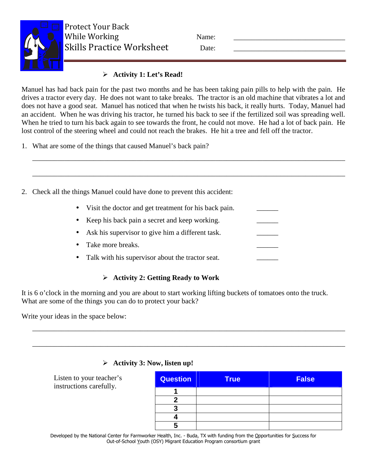

Protect Your Back While Working Name: Skills Practice Worksheet Date:

## **Activity 1: Let's Read!**

Manuel has had back pain for the past two months and he has been taking pain pills to help with the pain. He drives a tractor every day. He does not want to take breaks. The tractor is an old machine that vibrates a lot and does not have a good seat. Manuel has noticed that when he twists his back, it really hurts. Today, Manuel had an accident. When he was driving his tractor, he turned his back to see if the fertilized soil was spreading well. When he tried to turn his back again to see towards the front, he could not move. He had a lot of back pain. He lost control of the steering wheel and could not reach the brakes. He hit a tree and fell off the tractor.

\_\_\_\_\_\_\_\_\_\_\_\_\_\_\_\_\_\_\_\_\_\_\_\_\_\_\_\_\_\_\_\_\_\_\_\_\_\_\_\_\_\_\_\_\_\_\_\_\_\_\_\_\_\_\_\_\_\_\_\_\_\_\_\_\_\_\_\_\_\_\_\_\_\_\_\_\_\_\_\_\_\_\_\_\_\_\_

\_\_\_\_\_\_\_\_\_\_\_\_\_\_\_\_\_\_\_\_\_\_\_\_\_\_\_\_\_\_\_\_\_\_\_\_\_\_\_\_\_\_\_\_\_\_\_\_\_\_\_\_\_\_\_\_\_\_\_\_\_\_\_\_\_\_\_\_\_\_\_\_\_\_\_\_\_\_\_\_\_\_\_\_\_\_\_

1. What are some of the things that caused Manuel's back pain?

2. Check all the things Manuel could have done to prevent this accident:

- Visit the doctor and get treatment for his back pain.
- Keep his back pain a secret and keep working.
- Ask his supervisor to give him a different task.
- Take more breaks.
- Talk with his supervisor about the tractor seat.

# **Activity 2: Getting Ready to Work**

It is 6 o'clock in the morning and you are about to start working lifting buckets of tomatoes onto the truck. What are some of the things you can do to protect your back?

\_\_\_\_\_\_\_\_\_\_\_\_\_\_\_\_\_\_\_\_\_\_\_\_\_\_\_\_\_\_\_\_\_\_\_\_\_\_\_\_\_\_\_\_\_\_\_\_\_\_\_\_\_\_\_\_\_\_\_\_\_\_\_\_\_\_\_\_\_\_\_\_\_\_\_\_\_\_\_\_\_\_\_\_\_\_\_

\_\_\_\_\_\_\_\_\_\_\_\_\_\_\_\_\_\_\_\_\_\_\_\_\_\_\_\_\_\_\_\_\_\_\_\_\_\_\_\_\_\_\_\_\_\_\_\_\_\_\_\_\_\_\_\_\_\_\_\_\_\_\_\_\_\_\_\_\_\_\_\_\_\_\_\_\_\_\_\_\_\_\_\_\_\_\_

Write your ideas in the space below:

## **Activity 3: Now, listen up!**

Listen to your teacher's instructions carefully.

| <b>Question</b> | <b>True</b> | <b>False</b> |
|-----------------|-------------|--------------|
|                 |             |              |
|                 |             |              |
|                 |             |              |
|                 |             |              |
|                 |             |              |

Developed by the National Center for Farmworker Health, Inc. - Buda, TX with funding from the Opportunities for Success for Out-of-School Youth (OSY) Migrant Education Program consortium grant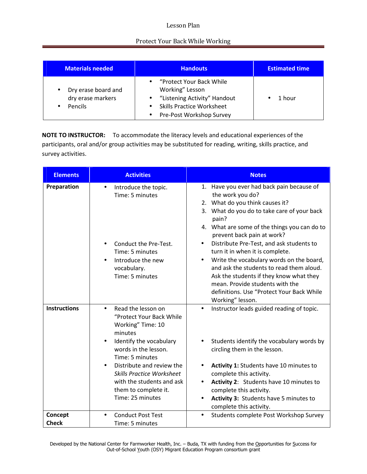#### Lesson Plan

### Protect Your Back While Working

| <b>Materials needed</b>                                                 | <b>Handouts</b>                                                                                                                                                        | <b>Estimated time</b> |
|-------------------------------------------------------------------------|------------------------------------------------------------------------------------------------------------------------------------------------------------------------|-----------------------|
| Dry erase board and<br>$\bullet$<br>dry erase markers<br><b>Pencils</b> | "Protect Your Back While"<br>Working" Lesson<br>"Listening Activity" Handout<br>$\bullet$<br><b>Skills Practice Worksheet</b><br>Pre-Post Workshop Survey<br>$\bullet$ | 1 hour                |

**NOTE TO INSTRUCTOR:** To accommodate the literacy levels and educational experiences of the participants, oral and/or group activities may be substituted for reading, writing, skills practice, and survey activities.

| <b>Elements</b>         | <b>Activities</b>                                                                                                                                                                                                                                                                                           | <b>Notes</b>                                                                                                                                                                                                                                                                                                                                                                                                                                                                                                                                                                           |
|-------------------------|-------------------------------------------------------------------------------------------------------------------------------------------------------------------------------------------------------------------------------------------------------------------------------------------------------------|----------------------------------------------------------------------------------------------------------------------------------------------------------------------------------------------------------------------------------------------------------------------------------------------------------------------------------------------------------------------------------------------------------------------------------------------------------------------------------------------------------------------------------------------------------------------------------------|
| Preparation             | Introduce the topic.<br>$\bullet$<br>Time: 5 minutes<br>Conduct the Pre-Test.<br>Time: 5 minutes<br>Introduce the new<br>vocabulary.<br>Time: 5 minutes                                                                                                                                                     | 1. Have you ever had back pain because of<br>the work you do?<br>2. What do you think causes it?<br>3. What do you do to take care of your back<br>pain?<br>4. What are some of the things you can do to<br>prevent back pain at work?<br>Distribute Pre-Test, and ask students to<br>$\bullet$<br>turn it in when it is complete.<br>Write the vocabulary words on the board,<br>$\bullet$<br>and ask the students to read them aloud.<br>Ask the students if they know what they<br>mean. Provide students with the<br>definitions. Use "Protect Your Back While<br>Working" lesson. |
| <b>Instructions</b>     | Read the lesson on<br>$\bullet$<br>"Protect Your Back While<br>Working" Time: 10<br>minutes<br>Identify the vocabulary<br>words in the lesson.<br>Time: 5 minutes<br>Distribute and review the<br><b>Skills Practice Worksheet</b><br>with the students and ask<br>them to complete it.<br>Time: 25 minutes | Instructor leads guided reading of topic.<br>$\bullet$<br>Students identify the vocabulary words by<br>circling them in the lesson.<br>Activity 1: Students have 10 minutes to<br>complete this activity.<br>Activity 2: Students have 10 minutes to<br>$\bullet$<br>complete this activity.<br>Activity 3: Students have 5 minutes to<br>$\bullet$<br>complete this activity.                                                                                                                                                                                                         |
| Concept<br><b>Check</b> | <b>Conduct Post Test</b><br>Time: 5 minutes                                                                                                                                                                                                                                                                 | Students complete Post Workshop Survey<br>$\bullet$                                                                                                                                                                                                                                                                                                                                                                                                                                                                                                                                    |
|                         |                                                                                                                                                                                                                                                                                                             |                                                                                                                                                                                                                                                                                                                                                                                                                                                                                                                                                                                        |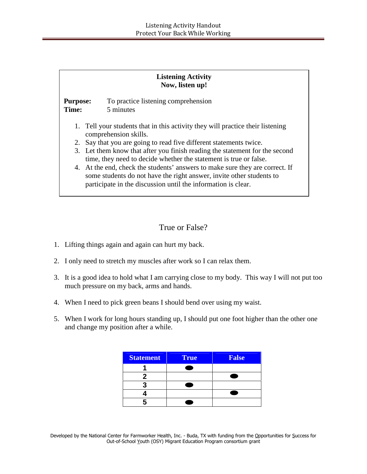#### **Listening Activity Now, listen up!**

**Purpose:** To practice listening comprehension **Time:** 5 minutes

- 1. Tell your students that in this activity they will practice their listening comprehension skills.
- 2. Say that you are going to read five different statements twice.
- 3. Let them know that after you finish reading the statement for the second time, they need to decide whether the statement is true or false.
- 4. At the end, check the students' answers to make sure they are correct. If some students do not have the right answer, invite other students to participate in the discussion until the information is clear.

## True or False?

- 1. Lifting things again and again can hurt my back.
- 2. I only need to stretch my muscles after work so I can relax them.
- 3. It is a good idea to hold what I am carrying close to my body. This way I will not put too much pressure on my back, arms and hands.
- 4. When I need to pick green beans I should bend over using my waist.
- 5. When I work for long hours standing up, I should put one foot higher than the other one and change my position after a while.

| <b>Statement</b> | True | <b>False</b> |
|------------------|------|--------------|
|                  |      |              |
|                  |      |              |
|                  |      |              |
|                  |      |              |
|                  |      |              |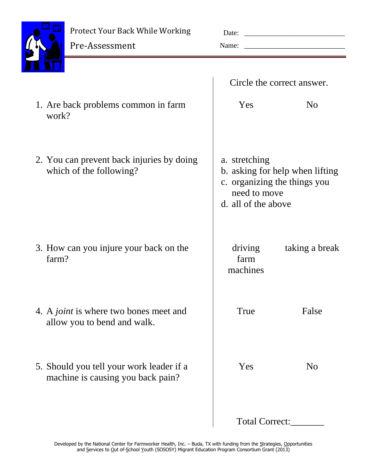

Pre-Assessment

|                         |                                                                               |                                                      | Circle the correct answer.                                      |  |
|-------------------------|-------------------------------------------------------------------------------|------------------------------------------------------|-----------------------------------------------------------------|--|
| work?                   | 1. Are back problems common in farm                                           | Yes                                                  | N <sub>o</sub>                                                  |  |
| which of the following? | 2. You can prevent back injuries by doing                                     | a. stretching<br>need to move<br>d. all of the above | b. asking for help when lifting<br>c. organizing the things you |  |
| farm?                   | 3. How can you injure your back on the                                        | driving<br>farm<br>machines                          | taking a break                                                  |  |
|                         | 4. A <i>joint</i> is where two bones meet and<br>allow you to bend and walk.  | True                                                 | False                                                           |  |
|                         | 5. Should you tell your work leader if a<br>machine is causing you back pain? | Yes                                                  | N <sub>0</sub>                                                  |  |
|                         |                                                                               | <b>Total Correct:</b>                                |                                                                 |  |